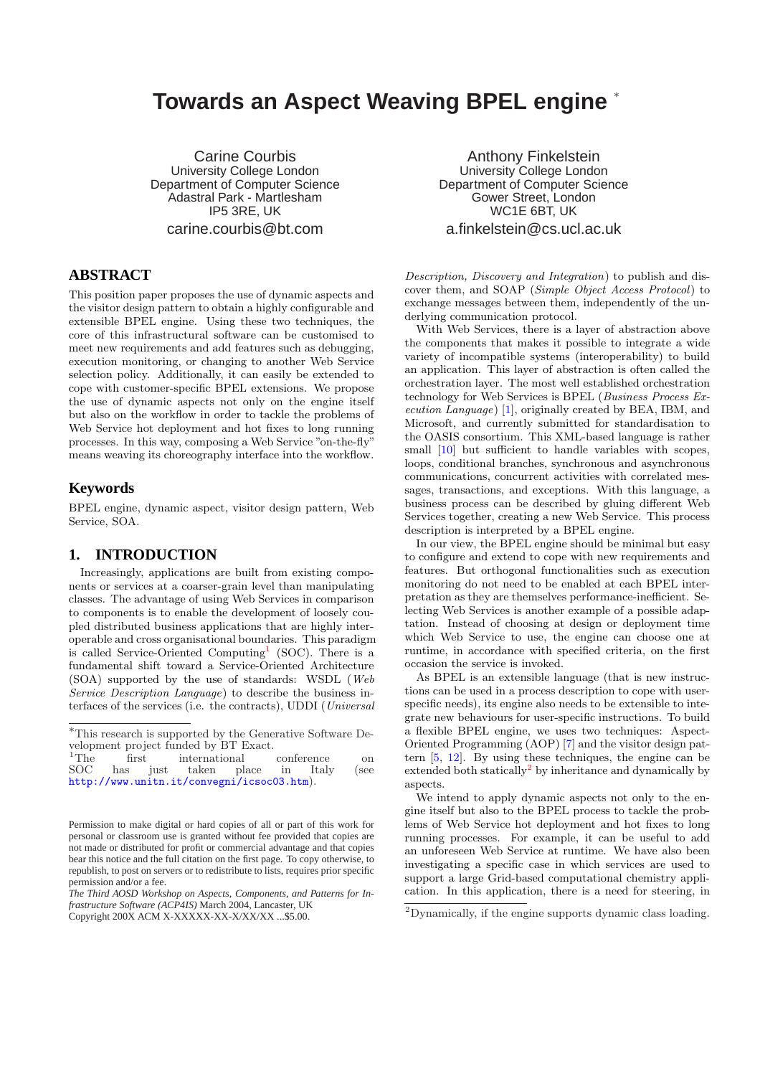# **Towards an Aspect Weaving BPEL engine** <sup>∗</sup>

Carine Courbis University College London Department of Computer Science Adastral Park - Martlesham IP5 3RE, UK carine.courbis@bt.com

# **ABSTRACT**

This position paper proposes the use of dynamic aspects and the visitor design pattern to obtain a highly configurable and extensible BPEL engine. Using these two techniques, the core of this infrastructural software can be customised to meet new requirements and add features such as debugging, execution monitoring, or changing to another Web Service selection policy. Additionally, it can easily be extended to cope with customer-specific BPEL extensions. We propose the use of dynamic aspects not only on the engine itself but also on the workflow in order to tackle the problems of Web Service hot deployment and hot fixes to long running processes. In this way, composing a Web Service "on-the-fly" means weaving its choreography interface into the workflow.

## **Keywords**

BPEL engine, dynamic aspect, visitor design pattern, Web Service, SOA.

# **1. INTRODUCTION**

Increasingly, applications are built from existing components or services at a coarser-grain level than manipulating classes. The advantage of using Web Services in comparison to components is to enable the development of loosely coupled distributed business applications that are highly interoperable and cross organisational boundaries. This paradigm is called Service-Oriented Computing<sup>1</sup> (SOC). There is a fundamental shift toward a Service-Oriented Architecture (SOA) supported by the use of standards: WSDL (Web Service Description Language) to describe the business interfaces of the services (i.e. the contracts), UDDI (Universal

Anthony Finkelstein University College London Department of Computer Science Gower Street, London WC1E 6BT, UK a.finkelstein@cs.ucl.ac.uk

Description, Discovery and Integration) to publish and discover them, and SOAP (Simple Object Access Protocol) to exchange messages between them, independently of the underlying communication protocol.

With Web Services, there is a layer of abstraction above the components that makes it possible to integrate a wide variety of incompatible systems (interoperability) to build an application. This layer of abstraction is often called the orchestration layer. The most well established orchestration technology for Web Services is BPEL (Business Process Execution Language) [1], originally created by BEA, IBM, and Microsoft, and currently submitted for standardisation to the OASIS consortium. This XML-based language is rather small  $[10]$  but sufficient to handle variables with scopes, loops, conditional branches, synchronous and asynchronous communications, concurrent activities with correlated messages, transactions, and exceptions. With this language, a business process can be described by gluing different Web Services together, creating a new Web Service. This process description is interpreted by a BPEL engine.

In our view, the BPEL engine should be minimal but easy to configure and extend to cope with new requirements and features. But orthogonal functionalities such as execution monitoring do not need to be enabled at each BPEL interpretation as they are themselves performance-inefficient. Selecting Web Services is another example of a possible adaptation. Instead of choosing at design or deployment time which Web Service to use, the engine can choose one at runtime, in accordance with specified criteria, on the first occasion the service is invoked.

As BPEL is an extensible language (that is new instructions can be used in a process description to cope with userspecific needs), its engine also needs to be extensible to integrate new behaviours for user-specific instructions. To build a flexible BPEL engine, we uses two techniques: Aspect-Oriented Programming (AOP) [7] and the visitor design pattern  $[5, 12]$ . By using these techniques, the engine can be extended both statically<sup>2</sup> by inheritance and dynamically by aspects.

We intend to apply dynamic aspects not only to the engine itself but also to the BPEL process to tackle the problems of Web Service hot deployment and hot fixes to long running processes. For example, it can be useful to add an unforeseen Web Service at runtime. We have also been investigating a specific case in which services are used to support a large Grid-based computational chemistry application. In this application, there is a need for steering, in

<sup>∗</sup>This research is supported by the Generative Software Development project funded by  $BT$  Exact.<br><sup>1</sup>The first international

first international conference on SOC has just taken place in Italy (see http://www.unitn.it/convegni/icsoc03.htm).

Permission to make digital or hard copies of all or part of this work for personal or classroom use is granted without fee provided that copies are not made or distributed for profit or commercial advantage and that copies bear this notice and the full citation on the first page. To copy otherwise, to republish, to post on servers or to redistribute to lists, requires prior specific permission and/or a fee.

*The Third AOSD Workshop on Aspects, Components, and Patterns for Infrastructure Software (ACP4IS)* March 2004, Lancaster, UK

Copyright 200X ACM X-XXXXX-XX-X/XX/XX ...\$5.00.

<sup>2</sup>Dynamically, if the engine supports dynamic class loading.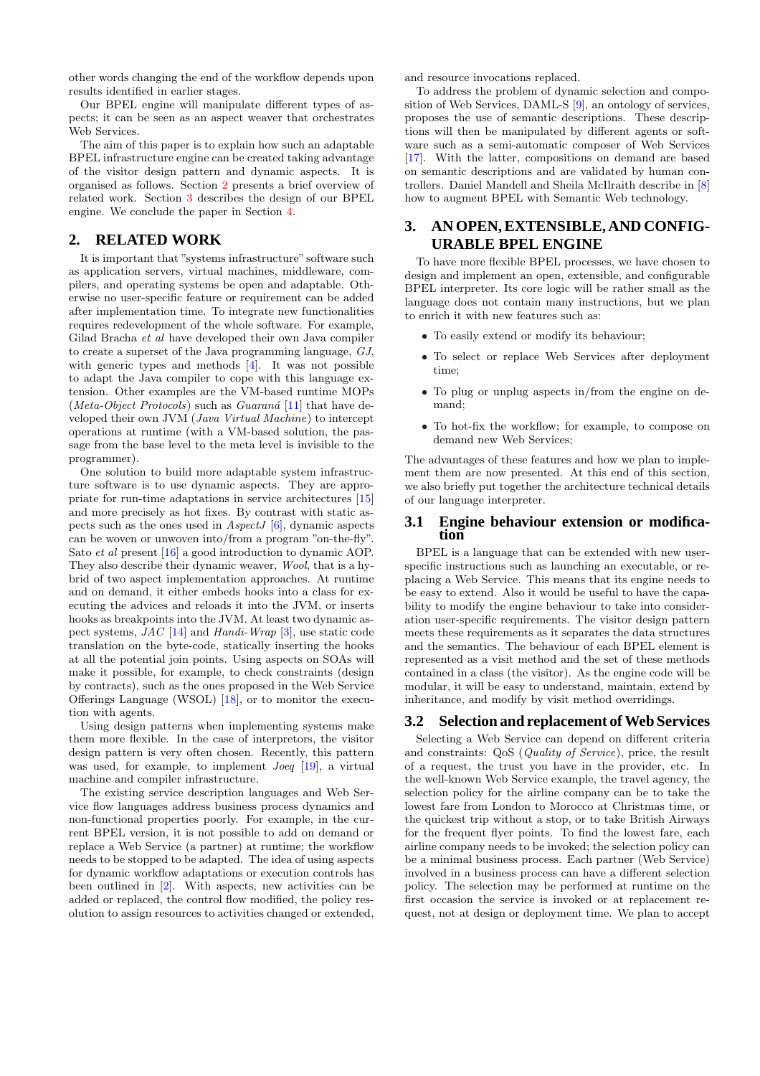other words changing the end of the workflow depends upon results identified in earlier stages.

Our BPEL engine will manipulate different types of aspects; it can be seen as an aspect weaver that orchestrates Web Services.

The aim of this paper is to explain how such an adaptable BPEL infrastructure engine can be created taking advantage of the visitor design pattern and dynamic aspects. It is organised as follows. Section 2 presents a brief overview of related work. Section 3 describes the design of our BPEL engine. We conclude the paper in Section 4.

#### **2. RELATED WORK**

It is important that "systems infrastructure" software such as application servers, virtual machines, middleware, compilers, and operating systems be open and adaptable. Otherwise no user-specific feature or requirement can be added after implementation time. To integrate new functionalities requires redevelopment of the whole software. For example, Gilad Bracha et al have developed their own Java compiler to create a superset of the Java programming language, GJ, with generic types and methods [4]. It was not possible to adapt the Java compiler to cope with this language extension. Other examples are the VM-based runtime MOPs (*Meta-Object Protocols*) such as *Guaraná* [11] that have developed their own JVM (Java Virtual Machine) to intercept operations at runtime (with a VM-based solution, the passage from the base level to the meta level is invisible to the programmer).

One solution to build more adaptable system infrastructure software is to use dynamic aspects. They are appropriate for run-time adaptations in service architectures [15] and more precisely as hot fixes. By contrast with static aspects such as the ones used in AspectJ  $[6]$ , dynamic aspects can be woven or unwoven into/from a program "on-the-fly". Sato et al present [16] a good introduction to dynamic AOP. They also describe their dynamic weaver, Wool, that is a hybrid of two aspect implementation approaches. At runtime and on demand, it either embeds hooks into a class for executing the advices and reloads it into the JVM, or inserts hooks as breakpoints into the JVM. At least two dynamic aspect systems, JAC [14] and Handi-Wrap [3], use static code translation on the byte-code, statically inserting the hooks at all the potential join points. Using aspects on SOAs will make it possible, for example, to check constraints (design by contracts), such as the ones proposed in the Web Service Offerings Language (WSOL) [18], or to monitor the execution with agents.

Using design patterns when implementing systems make them more flexible. In the case of interpretors, the visitor design pattern is very often chosen. Recently, this pattern was used, for example, to implement Joeq [19], a virtual machine and compiler infrastructure.

The existing service description languages and Web Service flow languages address business process dynamics and non-functional properties poorly. For example, in the current BPEL version, it is not possible to add on demand or replace a Web Service (a partner) at runtime; the workflow needs to be stopped to be adapted. The idea of using aspects for dynamic workflow adaptations or execution controls has been outlined in [2]. With aspects, new activities can be added or replaced, the control flow modified, the policy resolution to assign resources to activities changed or extended, and resource invocations replaced.

To address the problem of dynamic selection and composition of Web Services, DAML-S [9], an ontology of services, proposes the use of semantic descriptions. These descriptions will then be manipulated by different agents or software such as a semi-automatic composer of Web Services [17]. With the latter, compositions on demand are based on semantic descriptions and are validated by human controllers. Daniel Mandell and Sheila McIlraith describe in [8] how to augment BPEL with Semantic Web technology.

# **3. AN OPEN, EXTENSIBLE, AND CONFIG-URABLE BPEL ENGINE**

To have more flexible BPEL processes, we have chosen to design and implement an open, extensible, and configurable BPEL interpreter. Its core logic will be rather small as the language does not contain many instructions, but we plan to enrich it with new features such as:

- To easily extend or modify its behaviour;
- To select or replace Web Services after deployment time;
- To plug or unplug aspects in/from the engine on demand;
- To hot-fix the workflow; for example, to compose on demand new Web Services;

The advantages of these features and how we plan to implement them are now presented. At this end of this section, we also briefly put together the architecture technical details of our language interpreter.

#### **3.1 Engine behaviour extension or modification**

BPEL is a language that can be extended with new userspecific instructions such as launching an executable, or replacing a Web Service. This means that its engine needs to be easy to extend. Also it would be useful to have the capability to modify the engine behaviour to take into consideration user-specific requirements. The visitor design pattern meets these requirements as it separates the data structures and the semantics. The behaviour of each BPEL element is represented as a visit method and the set of these methods contained in a class (the visitor). As the engine code will be modular, it will be easy to understand, maintain, extend by inheritance, and modify by visit method overridings.

## **3.2 Selection and replacement of Web Services**

Selecting a Web Service can depend on different criteria and constraints: QoS (Quality of Service), price, the result of a request, the trust you have in the provider, etc. In the well-known Web Service example, the travel agency, the selection policy for the airline company can be to take the lowest fare from London to Morocco at Christmas time, or the quickest trip without a stop, or to take British Airways for the frequent flyer points. To find the lowest fare, each airline company needs to be invoked; the selection policy can be a minimal business process. Each partner (Web Service) involved in a business process can have a different selection policy. The selection may be performed at runtime on the first occasion the service is invoked or at replacement request, not at design or deployment time. We plan to accept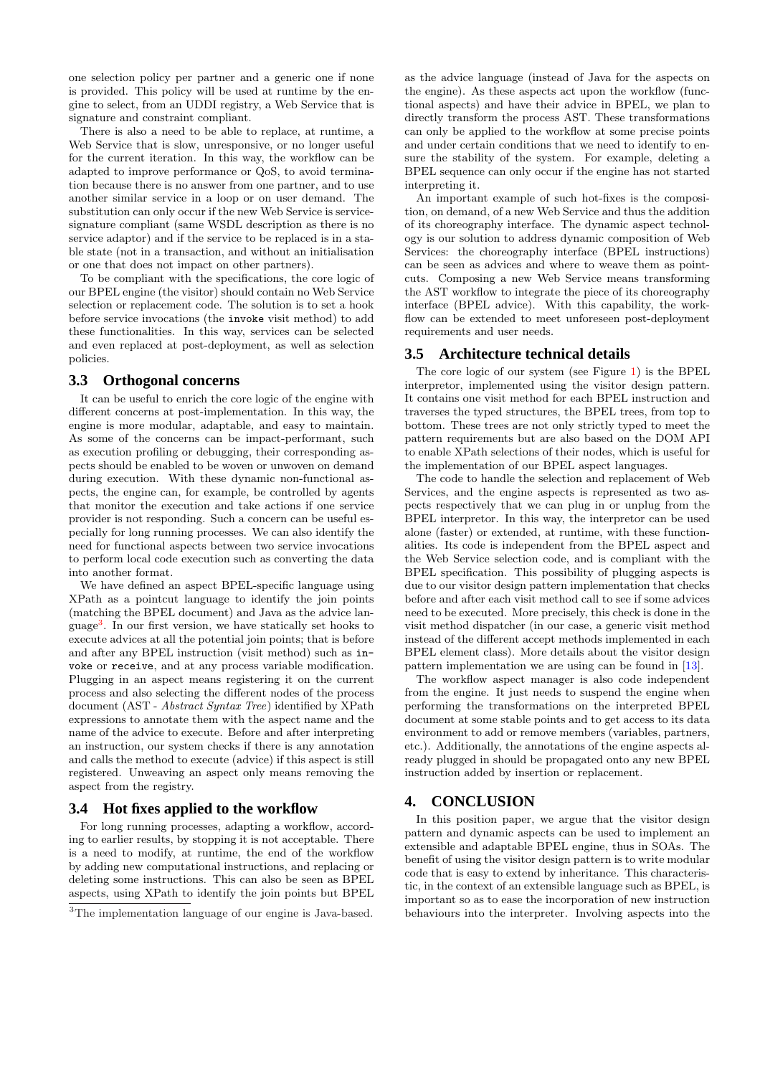one selection policy per partner and a generic one if none is provided. This policy will be used at runtime by the engine to select, from an UDDI registry, a Web Service that is signature and constraint compliant.

There is also a need to be able to replace, at runtime, a Web Service that is slow, unresponsive, or no longer useful for the current iteration. In this way, the workflow can be adapted to improve performance or QoS, to avoid termination because there is no answer from one partner, and to use another similar service in a loop or on user demand. The substitution can only occur if the new Web Service is servicesignature compliant (same WSDL description as there is no service adaptor) and if the service to be replaced is in a stable state (not in a transaction, and without an initialisation or one that does not impact on other partners).

To be compliant with the specifications, the core logic of our BPEL engine (the visitor) should contain no Web Service selection or replacement code. The solution is to set a hook before service invocations (the invoke visit method) to add these functionalities. In this way, services can be selected and even replaced at post-deployment, as well as selection policies.

### **3.3 Orthogonal concerns**

It can be useful to enrich the core logic of the engine with different concerns at post-implementation. In this way, the engine is more modular, adaptable, and easy to maintain. As some of the concerns can be impact-performant, such as execution profiling or debugging, their corresponding aspects should be enabled to be woven or unwoven on demand during execution. With these dynamic non-functional aspects, the engine can, for example, be controlled by agents that monitor the execution and take actions if one service provider is not responding. Such a concern can be useful especially for long running processes. We can also identify the need for functional aspects between two service invocations to perform local code execution such as converting the data into another format.

We have defined an aspect BPEL-specific language using XPath as a pointcut language to identify the join points (matching the BPEL document) and Java as the advice language<sup>3</sup> . In our first version, we have statically set hooks to execute advices at all the potential join points; that is before and after any BPEL instruction (visit method) such as invoke or receive, and at any process variable modification. Plugging in an aspect means registering it on the current process and also selecting the different nodes of the process document (AST - Abstract Syntax Tree) identified by XPath expressions to annotate them with the aspect name and the name of the advice to execute. Before and after interpreting an instruction, our system checks if there is any annotation and calls the method to execute (advice) if this aspect is still registered. Unweaving an aspect only means removing the aspect from the registry.

### **3.4 Hot fixes applied to the workflow**

For long running processes, adapting a workflow, according to earlier results, by stopping it is not acceptable. There is a need to modify, at runtime, the end of the workflow by adding new computational instructions, and replacing or deleting some instructions. This can also be seen as BPEL aspects, using XPath to identify the join points but BPEL

as the advice language (instead of Java for the aspects on the engine). As these aspects act upon the workflow (functional aspects) and have their advice in BPEL, we plan to directly transform the process AST. These transformations can only be applied to the workflow at some precise points and under certain conditions that we need to identify to ensure the stability of the system. For example, deleting a BPEL sequence can only occur if the engine has not started interpreting it.

An important example of such hot-fixes is the composition, on demand, of a new Web Service and thus the addition of its choreography interface. The dynamic aspect technology is our solution to address dynamic composition of Web Services: the choreography interface (BPEL instructions) can be seen as advices and where to weave them as pointcuts. Composing a new Web Service means transforming the AST workflow to integrate the piece of its choreography interface (BPEL advice). With this capability, the workflow can be extended to meet unforeseen post-deployment requirements and user needs.

#### **3.5 Architecture technical details**

The core logic of our system (see Figure 1) is the BPEL interpretor, implemented using the visitor design pattern. It contains one visit method for each BPEL instruction and traverses the typed structures, the BPEL trees, from top to bottom. These trees are not only strictly typed to meet the pattern requirements but are also based on the DOM API to enable XPath selections of their nodes, which is useful for the implementation of our BPEL aspect languages.

The code to handle the selection and replacement of Web Services, and the engine aspects is represented as two aspects respectively that we can plug in or unplug from the BPEL interpretor. In this way, the interpretor can be used alone (faster) or extended, at runtime, with these functionalities. Its code is independent from the BPEL aspect and the Web Service selection code, and is compliant with the BPEL specification. This possibility of plugging aspects is due to our visitor design pattern implementation that checks before and after each visit method call to see if some advices need to be executed. More precisely, this check is done in the visit method dispatcher (in our case, a generic visit method instead of the different accept methods implemented in each BPEL element class). More details about the visitor design pattern implementation we are using can be found in [13].

The workflow aspect manager is also code independent from the engine. It just needs to suspend the engine when performing the transformations on the interpreted BPEL document at some stable points and to get access to its data environment to add or remove members (variables, partners, etc.). Additionally, the annotations of the engine aspects already plugged in should be propagated onto any new BPEL instruction added by insertion or replacement.

## **4. CONCLUSION**

In this position paper, we argue that the visitor design pattern and dynamic aspects can be used to implement an extensible and adaptable BPEL engine, thus in SOAs. The benefit of using the visitor design pattern is to write modular code that is easy to extend by inheritance. This characteristic, in the context of an extensible language such as BPEL, is important so as to ease the incorporation of new instruction behaviours into the interpreter. Involving aspects into the

<sup>3</sup>The implementation language of our engine is Java-based.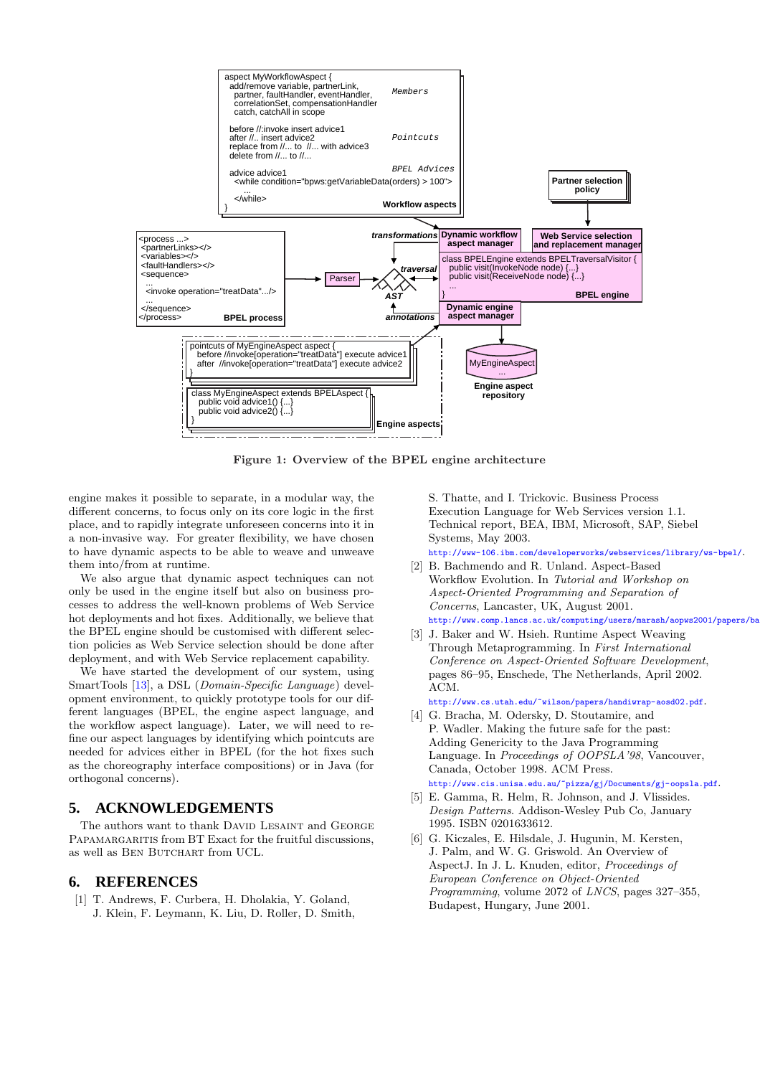

Figure 1: Overview of the BPEL engine architecture

engine makes it possible to separate, in a modular way, the different concerns, to focus only on its core logic in the first place, and to rapidly integrate unforeseen concerns into it in a non-invasive way. For greater flexibility, we have chosen to have dynamic aspects to be able to weave and unweave them into/from at runtime.

We also argue that dynamic aspect techniques can not only be used in the engine itself but also on business processes to address the well-known problems of Web Service hot deployments and hot fixes. Additionally, we believe that the BPEL engine should be customised with different selection policies as Web Service selection should be done after deployment, and with Web Service replacement capability.

We have started the development of our system, using SmartTools [13], a DSL (Domain-Specific Language) development environment, to quickly prototype tools for our different languages (BPEL, the engine aspect language, and the workflow aspect language). Later, we will need to refine our aspect languages by identifying which pointcuts are needed for advices either in BPEL (for the hot fixes such as the choreography interface compositions) or in Java (for orthogonal concerns).

## **5. ACKNOWLEDGEMENTS**

The authors want to thank DAVID LESAINT and GEORGE PAPAMARGARITIS from BT Exact for the fruitful discussions, as well as BEN BUTCHART from UCL.

#### **6. REFERENCES**

[1] T. Andrews, F. Curbera, H. Dholakia, Y. Goland, J. Klein, F. Leymann, K. Liu, D. Roller, D. Smith, S. Thatte, and I. Trickovic. Business Process Execution Language for Web Services version 1.1. Technical report, BEA, IBM, Microsoft, SAP, Siebel Systems, May 2003. http://www-106.ibm.com/developerworks/webservices/library/ws-bpel/.

- [2] B. Bachmendo and R. Unland. Aspect-Based Workflow Evolution. In Tutorial and Workshop on Aspect-Oriented Programming and Separation of Concerns, Lancaster, UK, August 2001. http://www.comp.lancs.ac.uk/computing/users/marash/aopws2001/papers/ba
- [3] J. Baker and W. Hsieh. Runtime Aspect Weaving Through Metaprogramming. In First International Conference on Aspect-Oriented Software Development, pages 86–95, Enschede, The Netherlands, April 2002. ACM.

http://www.cs.utah.edu/~wilson/papers/handiwrap-aosd02.pdf.

- [4] G. Bracha, M. Odersky, D. Stoutamire, and P. Wadler. Making the future safe for the past: Adding Genericity to the Java Programming Language. In Proceedings of OOPSLA'98, Vancouver, Canada, October 1998. ACM Press. http://www.cis.unisa.edu.au/~pizza/gj/Documents/gj-oopsla.pdf.
- [5] E. Gamma, R. Helm, R. Johnson, and J. Vlissides. Design Patterns. Addison-Wesley Pub Co, January 1995. ISBN 0201633612.
- [6] G. Kiczales, E. Hilsdale, J. Hugunin, M. Kersten, J. Palm, and W. G. Griswold. An Overview of AspectJ. In J. L. Knuden, editor, Proceedings of European Conference on Object-Oriented Programming, volume 2072 of LNCS, pages 327–355, Budapest, Hungary, June 2001.